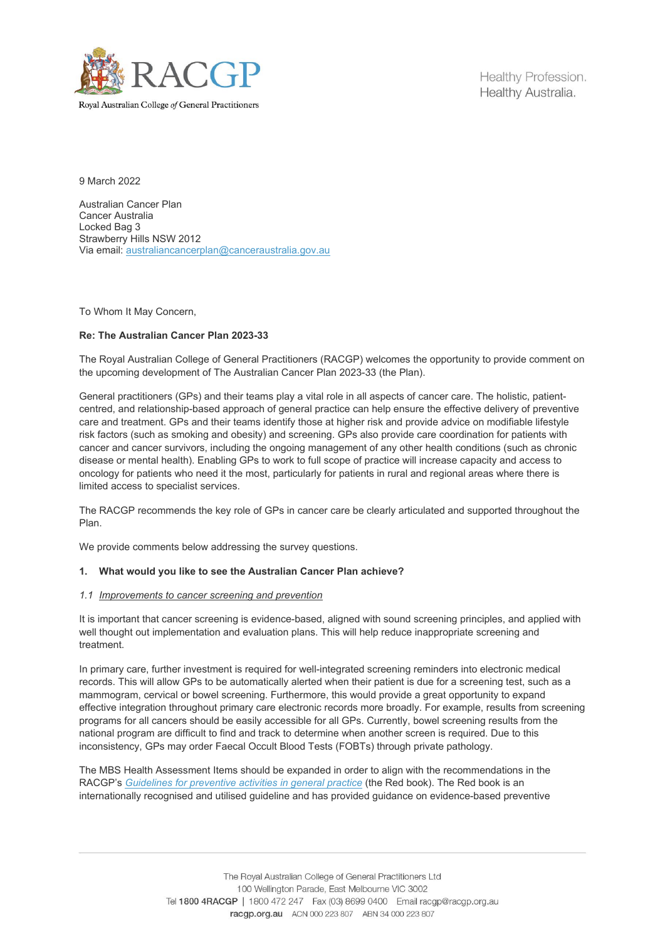

Royal Australian College of General Practitioners

Healthy Profession. Healthy Australia.

9 March 2022

Australian Cancer Plan Cancer Australia Locked Bag 3 Strawberry Hills NSW 2012 Via email: [australiancancerplan@canceraustralia.gov.au](mailto:australiancancerplan@canceraustralia.gov.au)

To Whom It May Concern,

### **Re: The Australian Cancer Plan 2023-33**

The Royal Australian College of General Practitioners (RACGP) welcomes the opportunity to provide comment on the upcoming development of The Australian Cancer Plan 2023-33 (the Plan).

General practitioners (GPs) and their teams play a vital role in all aspects of cancer care. The holistic, patientcentred, and relationship-based approach of general practice can help ensure the effective delivery of preventive care and treatment. GPs and their teams identify those at higher risk and provide advice on modifiable lifestyle risk factors (such as smoking and obesity) and screening. GPs also provide care coordination for patients with cancer and cancer survivors, including the ongoing management of any other health conditions (such as chronic disease or mental health). Enabling GPs to work to full scope of practice will increase capacity and access to oncology for patients who need it the most, particularly for patients in rural and regional areas where there is limited access to specialist services.

The RACGP recommends the key role of GPs in cancer care be clearly articulated and supported throughout the Plan.

We provide comments below addressing the survey questions.

### **1. What would you like to see the Australian Cancer Plan achieve?**

#### *1.1 Improvements to cancer screening and prevention*

It is important that cancer screening is evidence-based, aligned with sound screening principles, and applied with well thought out implementation and evaluation plans. This will help reduce inappropriate screening and treatment.

In primary care, further investment is required for well-integrated screening reminders into electronic medical records. This will allow GPs to be automatically alerted when their patient is due for a screening test, such as a mammogram, cervical or bowel screening. Furthermore, this would provide a great opportunity to expand effective integration throughout primary care electronic records more broadly. For example, results from screening programs for all cancers should be easily accessible for all GPs. Currently, bowel screening results from the national program are difficult to find and track to determine when another screen is required. Due to this inconsistency, GPs may order Faecal Occult Blood Tests (FOBTs) through private pathology.

The MBS Health Assessment Items should be expanded in order to align with the recommendations in the RACGP's *[Guidelines for preventive activities in general practice](https://www.racgp.org.au/clinical-resources/clinical-guidelines/key-racgp-guidelines/view-all-racgp-guidelines/guidelines-for-preventive-activities-in-general-pr/preamble/introduction)* (the Red book). The Red book is an internationally recognised and utilised guideline and has provided guidance on evidence-based preventive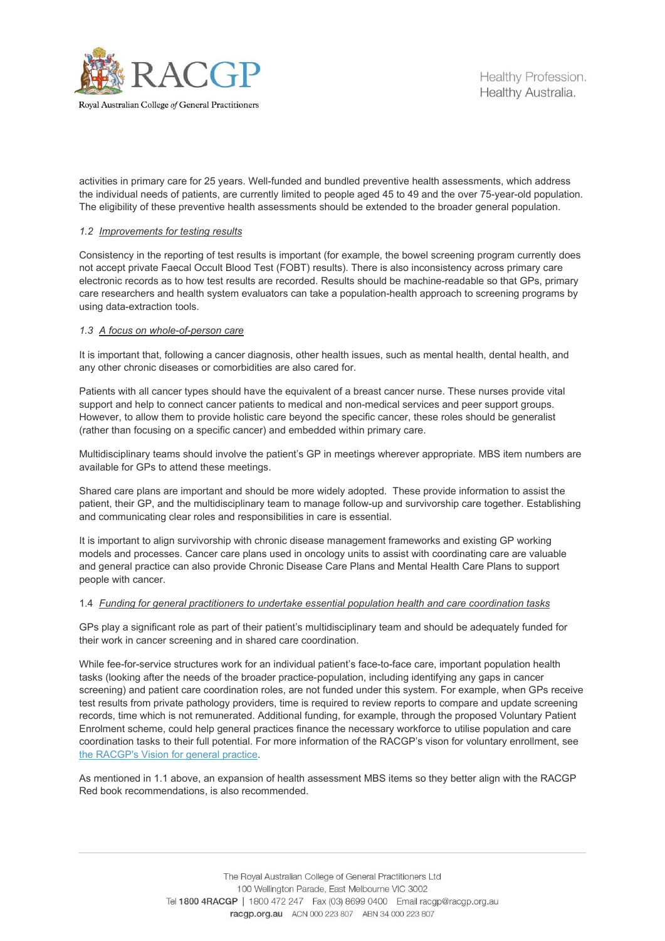

activities in primary care for 25 years. Well-funded and bundled preventive health assessments, which address the individual needs of patients, are currently limited to people aged 45 to 49 and the over 75-year-old population. The eligibility of these preventive health assessments should be extended to the broader general population.

# *1.2 Improvements for testing results*

Consistency in the reporting of test results is important (for example, the bowel screening program currently does not accept private Faecal Occult Blood Test (FOBT) results). There is also inconsistency across primary care electronic records as to how test results are recorded. Results should be machine-readable so that GPs, primary care researchers and health system evaluators can take a population-health approach to screening programs by using data-extraction tools.

# *1.3 A focus on whole-of-person care*

It is important that, following a cancer diagnosis, other health issues, such as mental health, dental health, and any other chronic diseases or comorbidities are also cared for.

Patients with all cancer types should have the equivalent of a breast cancer nurse. These nurses provide vital support and help to connect cancer patients to medical and non-medical services and peer support groups. However, to allow them to provide holistic care beyond the specific cancer, these roles should be generalist (rather than focusing on a specific cancer) and embedded within primary care.

Multidisciplinary teams should involve the patient's GP in meetings wherever appropriate. MBS item numbers are available for GPs to attend these meetings.

Shared care plans are important and should be more widely adopted. These provide information to assist the patient, their GP, and the multidisciplinary team to manage follow-up and survivorship care together. Establishing and communicating clear roles and responsibilities in care is essential.

It is important to align survivorship with chronic disease management frameworks and existing GP working models and processes. Cancer care plans used in oncology units to assist with coordinating care are valuable and general practice can also provide Chronic Disease Care Plans and Mental Health Care Plans to support people with cancer.

# 1.4 *Funding for general practitioners to undertake essential population health and care coordination tasks*

GPs play a significant role as part of their patient's multidisciplinary team and should be adequately funded for their work in cancer screening and in shared care coordination.

While fee-for-service structures work for an individual patient's face-to-face care, important population health tasks (looking after the needs of the broader practice-population, including identifying any gaps in cancer screening) and patient care coordination roles, are not funded under this system. For example, when GPs receive test results from private pathology providers, time is required to review reports to compare and update screening records, time which is not remunerated. Additional funding, for example, through the proposed Voluntary Patient Enrolment scheme, could help general practices finance the necessary workforce to utilise population and care coordination tasks to their full potential. For more information of the RACGP's vison for voluntary enrollment, see [the RACGP's Vision for general practice.](https://www.racgp.org.au/advocacy/advocacy-resources/the-vision-for-general-practice)

As mentioned in 1.1 above, an expansion of health assessment MBS items so they better align with the RACGP Red book recommendations, is also recommended.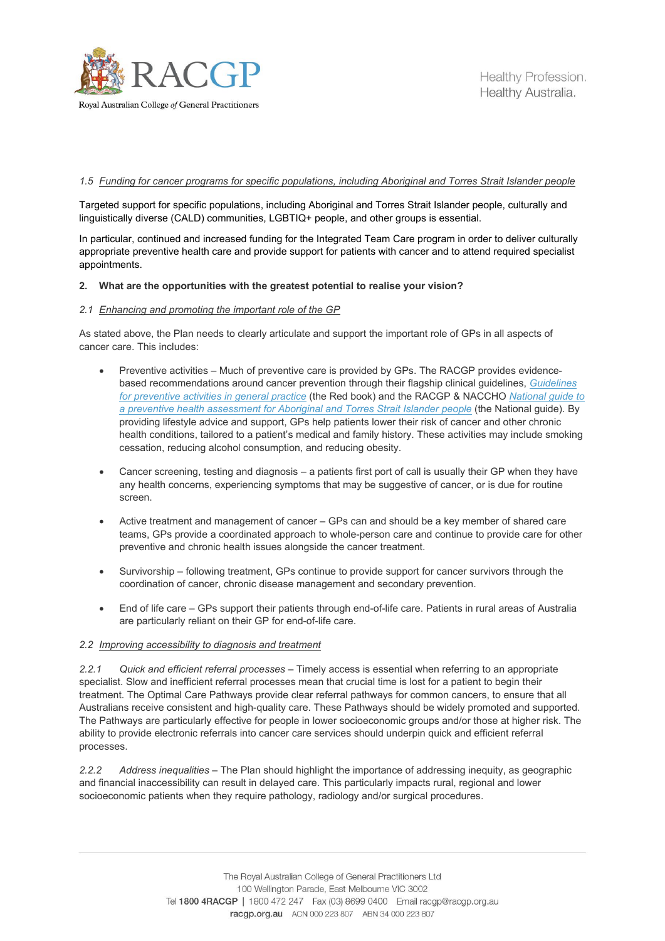

### *1.5 Funding for cancer programs for specific populations, including Aboriginal and Torres Strait Islander people*

Targeted support for specific populations, including Aboriginal and Torres Strait Islander people, culturally and linguistically diverse (CALD) communities, LGBTIQ+ people, and other groups is essential.

In particular, continued and increased funding for the Integrated Team Care program in order to deliver culturally appropriate preventive health care and provide support for patients with cancer and to attend required specialist appointments.

#### **2. What are the opportunities with the greatest potential to realise your vision?**

#### *2.1 Enhancing and promoting the important role of the GP*

As stated above, the Plan needs to clearly articulate and support the important role of GPs in all aspects of cancer care. This includes:

- Preventive activities Much of preventive care is provided by GPs. The RACGP provides evidencebased recommendations around cancer prevention through their flagship clinical guidelines, *[Guidelines](https://www.racgp.org.au/clinical-resources/clinical-guidelines/key-racgp-guidelines/view-all-racgp-guidelines/guidelines-for-preventive-activities-in-general-pr/preamble/introduction)  [for preventive activities in general practice](https://www.racgp.org.au/clinical-resources/clinical-guidelines/key-racgp-guidelines/view-all-racgp-guidelines/guidelines-for-preventive-activities-in-general-pr/preamble/introduction)* (the Red book) and the RACGP & NACCHO *[National guide to](https://www.racgp.org.au/clinical-resources/clinical-guidelines/key-racgp-guidelines/national-guide)  [a preventive health assessment for Aboriginal and Torres Strait Islander people](https://www.racgp.org.au/clinical-resources/clinical-guidelines/key-racgp-guidelines/national-guide)* (the National guide). By providing lifestyle advice and support, GPs help patients lower their risk of cancer and other chronic health conditions, tailored to a patient's medical and family history. These activities may include smoking cessation, reducing alcohol consumption, and reducing obesity.
- Cancer screening, testing and diagnosis a patients first port of call is usually their GP when they have any health concerns, experiencing symptoms that may be suggestive of cancer, or is due for routine screen.
- Active treatment and management of cancer GPs can and should be a key member of shared care teams, GPs provide a coordinated approach to whole-person care and continue to provide care for other preventive and chronic health issues alongside the cancer treatment.
- Survivorship following treatment, GPs continue to provide support for cancer survivors through the coordination of cancer, chronic disease management and secondary prevention.
- End of life care GPs support their patients through end-of-life care. Patients in rural areas of Australia are particularly reliant on their GP for end-of-life care.

#### *2.2 Improving accessibility to diagnosis and treatment*

*2.2.1 Quick and efficient referral processes* – Timely access is essential when referring to an appropriate specialist. Slow and inefficient referral processes mean that crucial time is lost for a patient to begin their treatment. The Optimal Care Pathways provide clear referral pathways for common cancers, to ensure that all Australians receive consistent and high-quality care. These Pathways should be widely promoted and supported. The Pathways are particularly effective for people in lower socioeconomic groups and/or those at higher risk. The ability to provide electronic referrals into cancer care services should underpin quick and efficient referral processes.

*2.2.2 Address inequalities –* The Plan should highlight the importance of addressing inequity, as geographic and financial inaccessibility can result in delayed care. This particularly impacts rural, regional and lower socioeconomic patients when they require pathology, radiology and/or surgical procedures.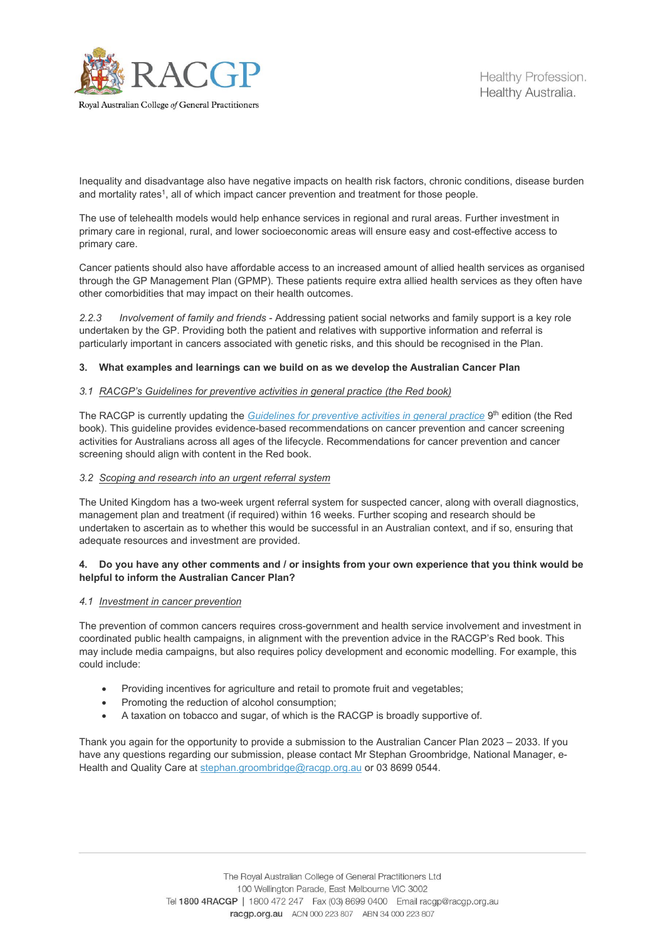

Healthy Profession. Healthy Australia.

Royal Australian College of General Practitioners

Inequality and disadvantage also have negative impacts on health risk factors, chronic conditions, disease burden and mortality rates<sup>1</sup>, all of which impact cancer prevention and treatment for those people.

The use of telehealth models would help enhance services in regional and rural areas. Further investment in primary care in regional, rural, and lower socioeconomic areas will ensure easy and cost-effective access to primary care.

Cancer patients should also have affordable access to an increased amount of allied health services as organised through the GP Management Plan (GPMP). These patients require extra allied health services as they often have other comorbidities that may impact on their health outcomes.

*2.2.3 Involvement of family and friends* - Addressing patient social networks and family support is a key role undertaken by the GP. Providing both the patient and relatives with supportive information and referral is particularly important in cancers associated with genetic risks, and this should be recognised in the Plan.

# **3. What examples and learnings can we build on as we develop the Australian Cancer Plan**

# *3.1 RACGP's Guidelines for preventive activities in general practice (the Red book)*

The RACGP is currently updating the *[Guidelines for preventive activities in general practice](https://www.racgp.org.au/clinical-resources/clinical-guidelines/key-racgp-guidelines/view-all-racgp-guidelines/guidelines-for-preventive-activities-in-general-pr/preamble/introduction)* 9<sup>th</sup> edition (the Red book). This guideline provides evidence-based recommendations on cancer prevention and cancer screening activities for Australians across all ages of the lifecycle. Recommendations for cancer prevention and cancer screening should align with content in the Red book.

# *3.2 Scoping and research into an urgent referral system*

The United Kingdom has a two-week urgent referral system for suspected cancer, along with overall diagnostics, management plan and treatment (if required) within 16 weeks. Further scoping and research should be undertaken to ascertain as to whether this would be successful in an Australian context, and if so, ensuring that adequate resources and investment are provided.

# **4. Do you have any other comments and / or insights from your own experience that you think would be helpful to inform the Australian Cancer Plan?**

# *4.1 Investment in cancer prevention*

The prevention of common cancers requires cross-government and health service involvement and investment in coordinated public health campaigns, in alignment with the prevention advice in the RACGP's Red book. This may include media campaigns, but also requires policy development and economic modelling. For example, this could include:

- Providing incentives for agriculture and retail to promote fruit and vegetables;
- Promoting the reduction of alcohol consumption;
- A taxation on tobacco and sugar, of which is the RACGP is broadly supportive of.

Thank you again for the opportunity to provide a submission to the Australian Cancer Plan 2023 – 2033. If you have any questions regarding our submission, please contact Mr Stephan Groombridge, National Manager, eHealth and Quality Care at [stephan.groombridge@racgp.org.au](mailto:stephan.groombridge@racgp.org.au) or 03 8699 0544.